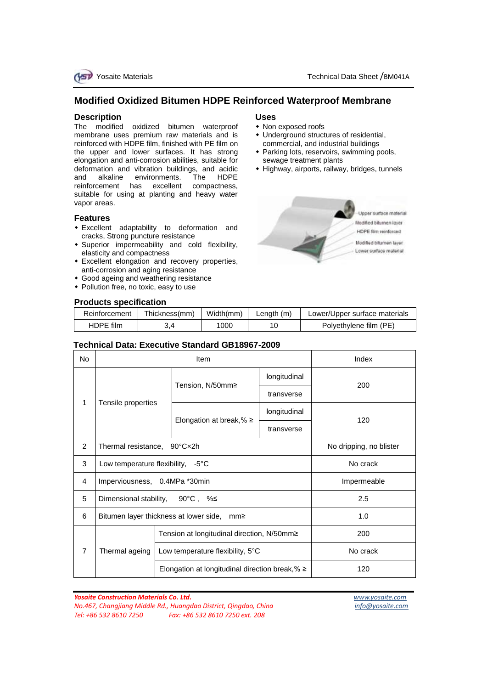

# **Modified Oxidized Bitumen HDPE Reinforced Waterproof Membrane**

### **Description**

The modified oxidized bitumen waterproof membrane uses premium raw materials and is reinforced with HDPE film, finished with PE film on the upper and lower surfaces. It has strong elongation and anti-corrosion abilities, suitable for deformation and vibration buildings, and acidic<br>and alkaline environments. The HDPF and alkaline environments. reinforcement has excellent compactness, suitable for using at planting and heavy water vapor areas.

#### **Features**

- Excellent adaptability to deformation and cracks, Strong puncture resistance
- Superior impermeability and cold flexibility, elasticity and compactness
- Excellent elongation and recovery properties, anti-corrosion and aging resistance
- Good ageing and weathering resistance
- Pollution free, no toxic, easy to use

## **Products specification**

#### **Uses**

- Non exposed roofs
- Underground structures of residential, commercial, and industrial buildings
- Parking lots, reservoirs, swimming pools, sewage treatment plants
- Highway, airports, railway, bridges, tunnels



| Reinforcement | Thickness(mm) | Width(mm) | Lenath (m) | Lower/Upper surface materials |  |  |
|---------------|---------------|-----------|------------|-------------------------------|--|--|
| HDPE film     |               | 1000      |            | Polyethylene film (PE)        |  |  |

#### **Technical Data: Executive Standard GB18967-2009**

| <b>No</b>      |                                             | Item                                                 | Index                   |     |
|----------------|---------------------------------------------|------------------------------------------------------|-------------------------|-----|
|                |                                             |                                                      | longitudinal            | 200 |
| 1              | Tensile properties                          | Tension, N/50mm≥                                     | transverse              |     |
|                |                                             |                                                      | longitudinal            | 120 |
|                |                                             | Elongation at break, % $\ge$                         | transverse              |     |
| $\overline{2}$ | Thermal resistance, 90°Cx2h                 |                                                      | No dripping, no blister |     |
| 3              | Low temperature flexibility, $-5^{\circ}$ C |                                                      | No crack                |     |
| 4              | Imperviousness, 0.4MPa *30min               | Impermeable                                          |                         |     |
| 5              |                                             | Dimensional stability, $90^{\circ}$ C, %             | 2.5                     |     |
| 6              |                                             | Bitumen layer thickness at lower side,<br>mm≥        | 1.0                     |     |
|                |                                             | Tension at longitudinal direction, N/50mm≥           | 200                     |     |
| $\overline{7}$ | Thermal ageing                              | Low temperature flexibility, $5^{\circ}$ C           | No crack                |     |
|                |                                             | Elongation at longitudinal direction break, $% \geq$ | 120                     |     |